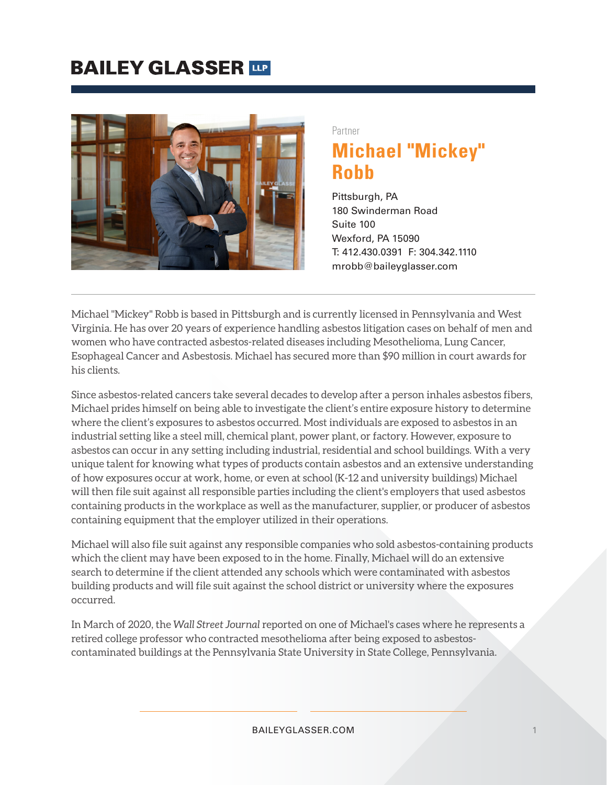## **BAILEY GLASSER TIP**



Partner

# **Michael "Mickey" Robb**

Pittsburgh, PA 180 Swinderman Road Suite 100 Wexford, PA 15090 T: 412.430.0391 F: 304.342.1110 mrobb@baileyglasser.com

Michael "Mickey" Robb is based in Pittsburgh and is currently licensed in Pennsylvania and West Virginia. He has over 20 years of experience handling asbestos litigation cases on behalf of men and women who have contracted asbestos-related diseases including Mesothelioma, Lung Cancer, Esophageal Cancer and Asbestosis. Michael has secured more than \$90 million in court awards for his clients.

Since asbestos-related cancers take several decades to develop after a person inhales asbestos fibers, Michael prides himself on being able to investigate the client's entire exposure history to determine where the client's exposures to asbestos occurred. Most individuals are exposed to asbestos in an industrial setting like a steel mill, chemical plant, power plant, or factory. However, exposure to asbestos can occur in any setting including industrial, residential and school buildings. With a very unique talent for knowing what types of products contain asbestos and an extensive understanding of how exposures occur at work, home, or even at school (K-12 and university buildings) Michael will then file suit against all responsible parties including the client's employers that used asbestos containing products in the workplace as well as the manufacturer, supplier, or producer of asbestos containing equipment that the employer utilized in their operations.

Michael will also file suit against any responsible companies who sold asbestos-containing products which the client may have been exposed to in the home. Finally, Michael will do an extensive search to determine if the client attended any schools which were contaminated with asbestos building products and will file suit against the school district or university where the exposures occurred.

In March of 2020, the *Wall Street Journal* reported on one of Michael's cases where he represents a retired college professor who contracted mesothelioma after being exposed to asbestoscontaminated buildings at the Pennsylvania State University in State College, Pennsylvania.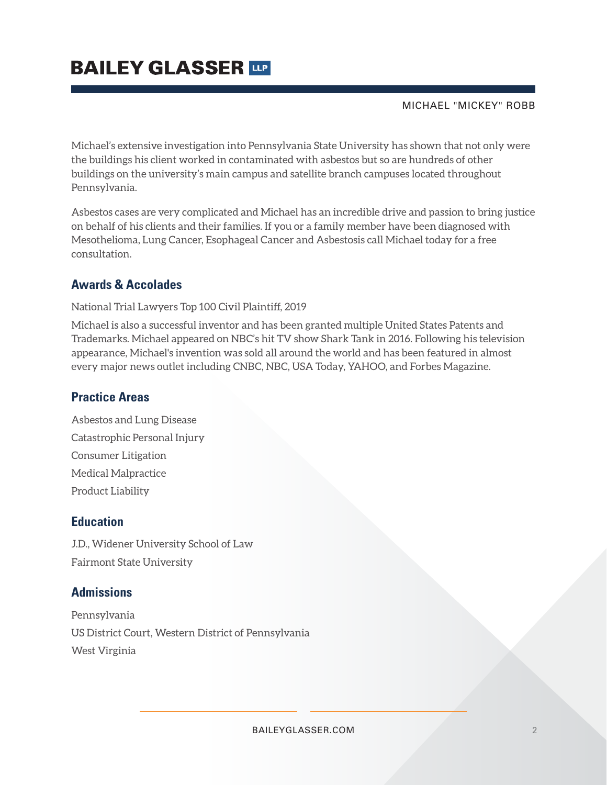# **BAILEY GLASSER TIP**

#### MICHAEL "MICKEY" ROBB

Michael's extensive investigation into Pennsylvania State University has shown that not only were the buildings his client worked in contaminated with asbestos but so are hundreds of other buildings on the university's main campus and satellite branch campuses located throughout Pennsylvania.

Asbestos cases are very complicated and Michael has an incredible drive and passion to bring justice on behalf of his clients and their families. If you or a family member have been diagnosed with Mesothelioma, Lung Cancer, Esophageal Cancer and Asbestosis call Michael today for a free consultation.

### **Awards & Accolades**

#### National Trial Lawyers Top 100 Civil Plaintiff, 2019

Michael is also a successful inventor and has been granted multiple United States Patents and Trademarks. Michael appeared on NBC's hit TV show Shark Tank in 2016. Following his television appearance, Michael's invention was sold all around the world and has been featured in almost every major news outlet including CNBC, NBC, USA Today, YAHOO, and Forbes Magazine.

### **Practice Areas**

Asbestos and Lung Disease Catastrophic Personal Injury Consumer Litigation Medical Malpractice Product Liability

### **Education**

J.D., Widener University School of Law Fairmont State University

### **Admissions**

Pennsylvania US District Court, Western District of Pennsylvania West Virginia